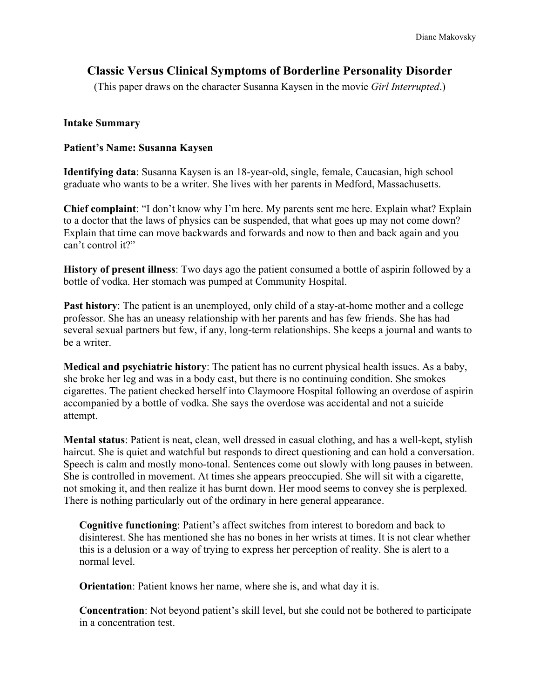# **Classic Versus Clinical Symptoms of Borderline Personality Disorder**

(This paper draws on the character Susanna Kaysen in the movie *Girl Interrupted*.)

# **Intake Summary**

# **Patient's Name: Susanna Kaysen**

**Identifying data**: Susanna Kaysen is an 18-year-old, single, female, Caucasian, high school graduate who wants to be a writer. She lives with her parents in Medford, Massachusetts.

**Chief complaint**: "I don't know why I'm here. My parents sent me here. Explain what? Explain to a doctor that the laws of physics can be suspended, that what goes up may not come down? Explain that time can move backwards and forwards and now to then and back again and you can't control it?"

**History of present illness**: Two days ago the patient consumed a bottle of aspirin followed by a bottle of vodka. Her stomach was pumped at Community Hospital.

**Past history**: The patient is an unemployed, only child of a stay-at-home mother and a college professor. She has an uneasy relationship with her parents and has few friends. She has had several sexual partners but few, if any, long-term relationships. She keeps a journal and wants to be a writer.

**Medical and psychiatric history**: The patient has no current physical health issues. As a baby, she broke her leg and was in a body cast, but there is no continuing condition. She smokes cigarettes. The patient checked herself into Claymoore Hospital following an overdose of aspirin accompanied by a bottle of vodka. She says the overdose was accidental and not a suicide attempt.

**Mental status**: Patient is neat, clean, well dressed in casual clothing, and has a well-kept, stylish haircut. She is quiet and watchful but responds to direct questioning and can hold a conversation. Speech is calm and mostly mono-tonal. Sentences come out slowly with long pauses in between. She is controlled in movement. At times she appears preoccupied. She will sit with a cigarette, not smoking it, and then realize it has burnt down. Her mood seems to convey she is perplexed. There is nothing particularly out of the ordinary in here general appearance.

**Cognitive functioning**: Patient's affect switches from interest to boredom and back to disinterest. She has mentioned she has no bones in her wrists at times. It is not clear whether this is a delusion or a way of trying to express her perception of reality. She is alert to a normal level.

**Orientation**: Patient knows her name, where she is, and what day it is.

**Concentration**: Not beyond patient's skill level, but she could not be bothered to participate in a concentration test.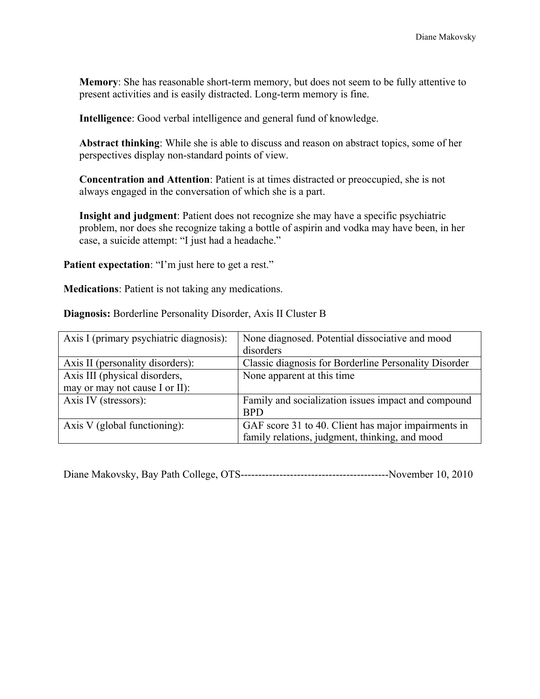**Memory**: She has reasonable short-term memory, but does not seem to be fully attentive to present activities and is easily distracted. Long-term memory is fine.

**Intelligence**: Good verbal intelligence and general fund of knowledge.

**Abstract thinking**: While she is able to discuss and reason on abstract topics, some of her perspectives display non-standard points of view.

**Concentration and Attention**: Patient is at times distracted or preoccupied, she is not always engaged in the conversation of which she is a part.

**Insight and judgment**: Patient does not recognize she may have a specific psychiatric problem, nor does she recognize taking a bottle of aspirin and vodka may have been, in her case, a suicide attempt: "I just had a headache."

Patient expectation: "I'm just here to get a rest."

**Medications**: Patient is not taking any medications.

**Diagnosis:** Borderline Personality Disorder, Axis II Cluster B

| Axis I (primary psychiatric diagnosis): | None diagnosed. Potential dissociative and mood       |
|-----------------------------------------|-------------------------------------------------------|
|                                         | disorders                                             |
| Axis II (personality disorders):        | Classic diagnosis for Borderline Personality Disorder |
| Axis III (physical disorders,           | None apparent at this time                            |
| may or may not cause I or II):          |                                                       |
| Axis IV (stressors):                    | Family and socialization issues impact and compound   |
|                                         | <b>BPD</b>                                            |
| Axis V (global functioning):            | GAF score 31 to 40. Client has major impairments in   |
|                                         | family relations, judgment, thinking, and mood        |

Diane Makovsky, Bay Path College, OTS------------------------------------------November 10, 2010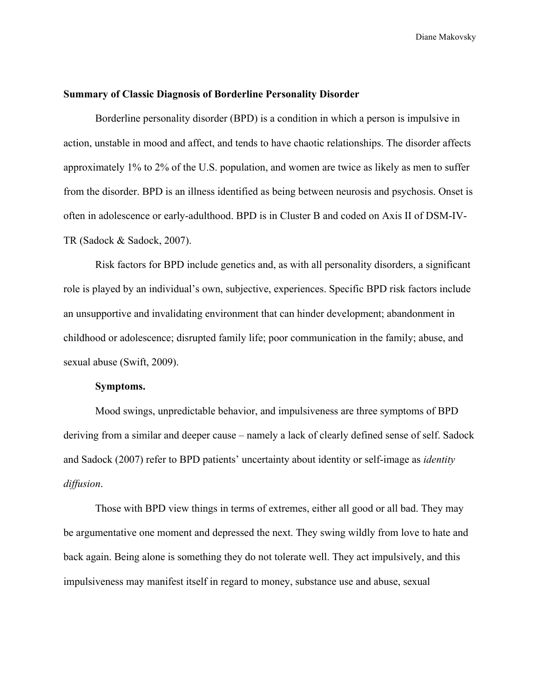## **Summary of Classic Diagnosis of Borderline Personality Disorder**

Borderline personality disorder (BPD) is a condition in which a person is impulsive in action, unstable in mood and affect, and tends to have chaotic relationships. The disorder affects approximately 1% to 2% of the U.S. population, and women are twice as likely as men to suffer from the disorder. BPD is an illness identified as being between neurosis and psychosis. Onset is often in adolescence or early-adulthood. BPD is in Cluster B and coded on Axis II of DSM-IV-TR (Sadock & Sadock, 2007).

Risk factors for BPD include genetics and, as with all personality disorders, a significant role is played by an individual's own, subjective, experiences. Specific BPD risk factors include an unsupportive and invalidating environment that can hinder development; abandonment in childhood or adolescence; disrupted family life; poor communication in the family; abuse, and sexual abuse (Swift, 2009).

#### **Symptoms.**

Mood swings, unpredictable behavior, and impulsiveness are three symptoms of BPD deriving from a similar and deeper cause – namely a lack of clearly defined sense of self. Sadock and Sadock (2007) refer to BPD patients' uncertainty about identity or self-image as *identity diffusion*.

Those with BPD view things in terms of extremes, either all good or all bad. They may be argumentative one moment and depressed the next. They swing wildly from love to hate and back again. Being alone is something they do not tolerate well. They act impulsively, and this impulsiveness may manifest itself in regard to money, substance use and abuse, sexual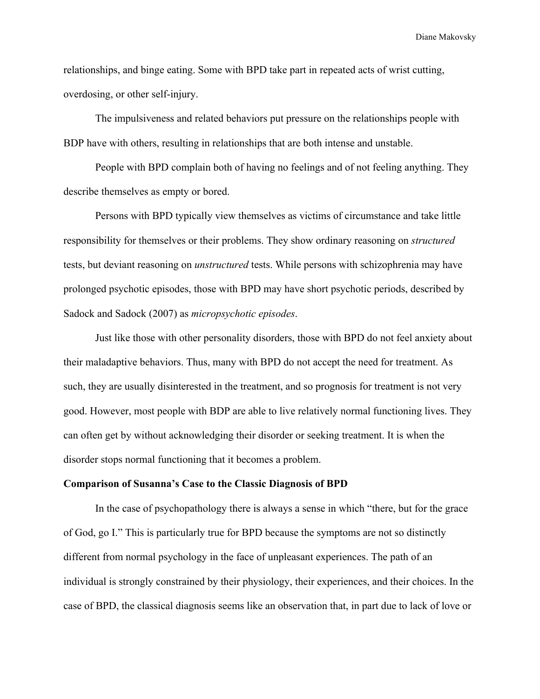relationships, and binge eating. Some with BPD take part in repeated acts of wrist cutting, overdosing, or other self-injury.

The impulsiveness and related behaviors put pressure on the relationships people with BDP have with others, resulting in relationships that are both intense and unstable.

People with BPD complain both of having no feelings and of not feeling anything. They describe themselves as empty or bored.

Persons with BPD typically view themselves as victims of circumstance and take little responsibility for themselves or their problems. They show ordinary reasoning on *structured*  tests, but deviant reasoning on *unstructured* tests. While persons with schizophrenia may have prolonged psychotic episodes, those with BPD may have short psychotic periods, described by Sadock and Sadock (2007) as *micropsychotic episodes*.

Just like those with other personality disorders, those with BPD do not feel anxiety about their maladaptive behaviors. Thus, many with BPD do not accept the need for treatment. As such, they are usually disinterested in the treatment, and so prognosis for treatment is not very good. However, most people with BDP are able to live relatively normal functioning lives. They can often get by without acknowledging their disorder or seeking treatment. It is when the disorder stops normal functioning that it becomes a problem.

#### **Comparison of Susanna's Case to the Classic Diagnosis of BPD**

In the case of psychopathology there is always a sense in which "there, but for the grace of God, go I." This is particularly true for BPD because the symptoms are not so distinctly different from normal psychology in the face of unpleasant experiences. The path of an individual is strongly constrained by their physiology, their experiences, and their choices. In the case of BPD, the classical diagnosis seems like an observation that, in part due to lack of love or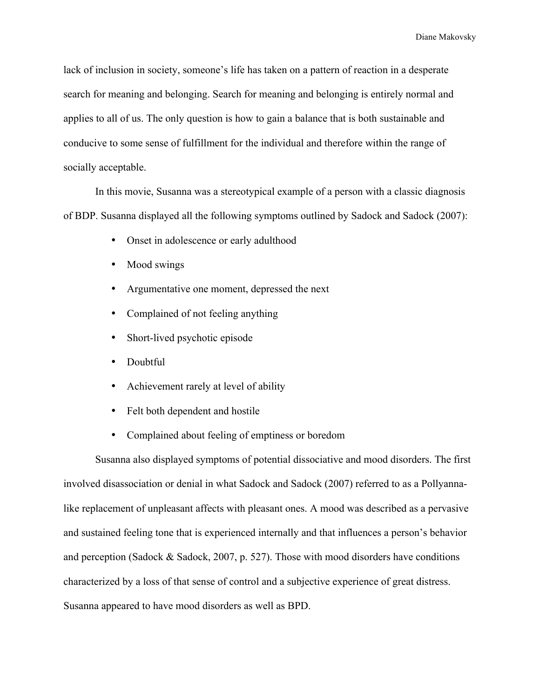lack of inclusion in society, someone's life has taken on a pattern of reaction in a desperate search for meaning and belonging. Search for meaning and belonging is entirely normal and applies to all of us. The only question is how to gain a balance that is both sustainable and conducive to some sense of fulfillment for the individual and therefore within the range of socially acceptable.

In this movie, Susanna was a stereotypical example of a person with a classic diagnosis of BDP. Susanna displayed all the following symptoms outlined by Sadock and Sadock (2007):

- Onset in adolescence or early adulthood
- Mood swings
- Argumentative one moment, depressed the next
- Complained of not feeling anything
- Short-lived psychotic episode
- Doubtful
- Achievement rarely at level of ability
- Felt both dependent and hostile
- Complained about feeling of emptiness or boredom

Susanna also displayed symptoms of potential dissociative and mood disorders. The first involved disassociation or denial in what Sadock and Sadock (2007) referred to as a Pollyannalike replacement of unpleasant affects with pleasant ones. A mood was described as a pervasive and sustained feeling tone that is experienced internally and that influences a person's behavior and perception (Sadock & Sadock, 2007, p. 527). Those with mood disorders have conditions characterized by a loss of that sense of control and a subjective experience of great distress. Susanna appeared to have mood disorders as well as BPD.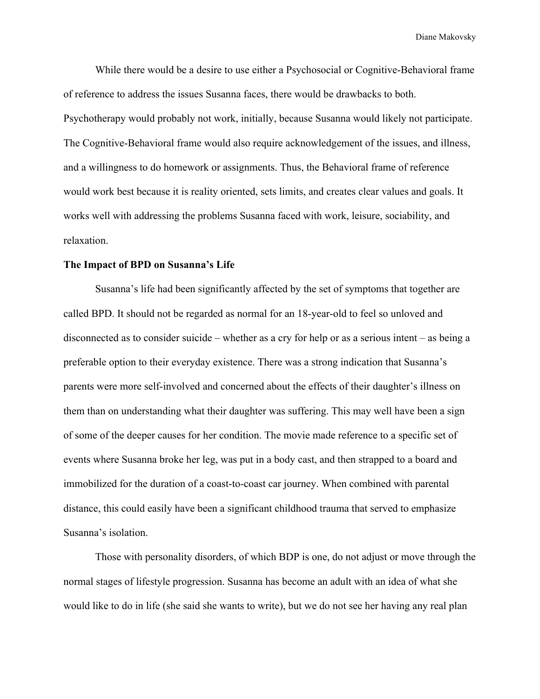While there would be a desire to use either a Psychosocial or Cognitive-Behavioral frame of reference to address the issues Susanna faces, there would be drawbacks to both. Psychotherapy would probably not work, initially, because Susanna would likely not participate. The Cognitive-Behavioral frame would also require acknowledgement of the issues, and illness, and a willingness to do homework or assignments. Thus, the Behavioral frame of reference would work best because it is reality oriented, sets limits, and creates clear values and goals. It works well with addressing the problems Susanna faced with work, leisure, sociability, and relaxation.

#### **The Impact of BPD on Susanna's Life**

Susanna's life had been significantly affected by the set of symptoms that together are called BPD. It should not be regarded as normal for an 18-year-old to feel so unloved and disconnected as to consider suicide – whether as a cry for help or as a serious intent – as being a preferable option to their everyday existence. There was a strong indication that Susanna's parents were more self-involved and concerned about the effects of their daughter's illness on them than on understanding what their daughter was suffering. This may well have been a sign of some of the deeper causes for her condition. The movie made reference to a specific set of events where Susanna broke her leg, was put in a body cast, and then strapped to a board and immobilized for the duration of a coast-to-coast car journey. When combined with parental distance, this could easily have been a significant childhood trauma that served to emphasize Susanna's isolation.

Those with personality disorders, of which BDP is one, do not adjust or move through the normal stages of lifestyle progression. Susanna has become an adult with an idea of what she would like to do in life (she said she wants to write), but we do not see her having any real plan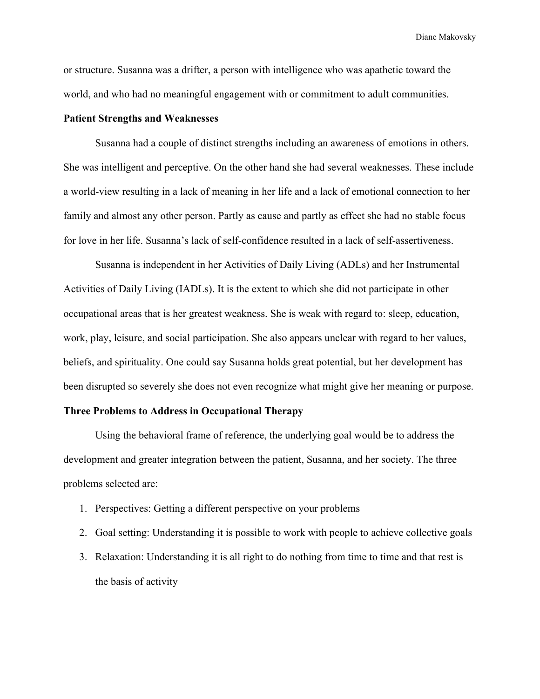or structure. Susanna was a drifter, a person with intelligence who was apathetic toward the world, and who had no meaningful engagement with or commitment to adult communities.

## **Patient Strengths and Weaknesses**

Susanna had a couple of distinct strengths including an awareness of emotions in others. She was intelligent and perceptive. On the other hand she had several weaknesses. These include a world-view resulting in a lack of meaning in her life and a lack of emotional connection to her family and almost any other person. Partly as cause and partly as effect she had no stable focus for love in her life. Susanna's lack of self-confidence resulted in a lack of self-assertiveness.

Susanna is independent in her Activities of Daily Living (ADLs) and her Instrumental Activities of Daily Living (IADLs). It is the extent to which she did not participate in other occupational areas that is her greatest weakness. She is weak with regard to: sleep, education, work, play, leisure, and social participation. She also appears unclear with regard to her values, beliefs, and spirituality. One could say Susanna holds great potential, but her development has been disrupted so severely she does not even recognize what might give her meaning or purpose.

## **Three Problems to Address in Occupational Therapy**

Using the behavioral frame of reference, the underlying goal would be to address the development and greater integration between the patient, Susanna, and her society. The three problems selected are:

- 1. Perspectives: Getting a different perspective on your problems
- 2. Goal setting: Understanding it is possible to work with people to achieve collective goals
- 3. Relaxation: Understanding it is all right to do nothing from time to time and that rest is the basis of activity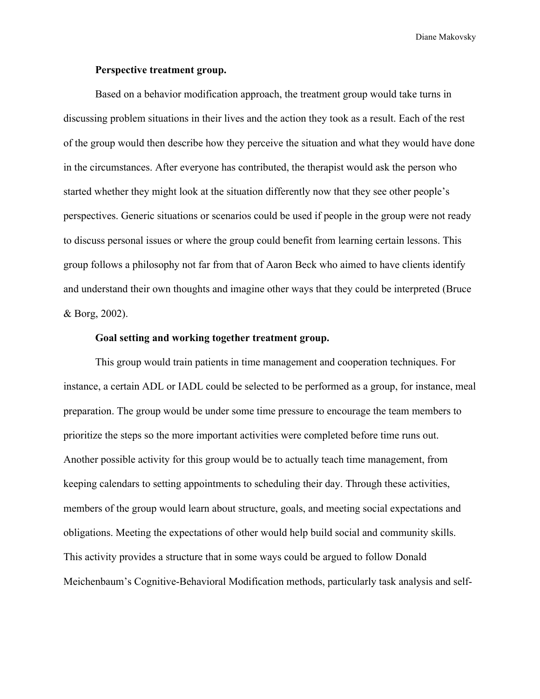## **Perspective treatment group.**

Based on a behavior modification approach, the treatment group would take turns in discussing problem situations in their lives and the action they took as a result. Each of the rest of the group would then describe how they perceive the situation and what they would have done in the circumstances. After everyone has contributed, the therapist would ask the person who started whether they might look at the situation differently now that they see other people's perspectives. Generic situations or scenarios could be used if people in the group were not ready to discuss personal issues or where the group could benefit from learning certain lessons. This group follows a philosophy not far from that of Aaron Beck who aimed to have clients identify and understand their own thoughts and imagine other ways that they could be interpreted (Bruce & Borg, 2002).

## **Goal setting and working together treatment group.**

This group would train patients in time management and cooperation techniques. For instance, a certain ADL or IADL could be selected to be performed as a group, for instance, meal preparation. The group would be under some time pressure to encourage the team members to prioritize the steps so the more important activities were completed before time runs out. Another possible activity for this group would be to actually teach time management, from keeping calendars to setting appointments to scheduling their day. Through these activities, members of the group would learn about structure, goals, and meeting social expectations and obligations. Meeting the expectations of other would help build social and community skills. This activity provides a structure that in some ways could be argued to follow Donald Meichenbaum's Cognitive-Behavioral Modification methods, particularly task analysis and self-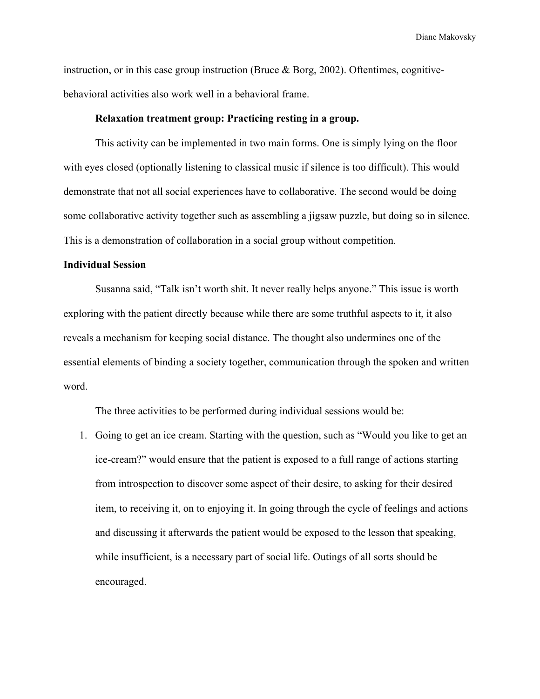instruction, or in this case group instruction (Bruce  $\&$  Borg, 2002). Oftentimes, cognitivebehavioral activities also work well in a behavioral frame.

#### **Relaxation treatment group: Practicing resting in a group.**

This activity can be implemented in two main forms. One is simply lying on the floor with eyes closed (optionally listening to classical music if silence is too difficult). This would demonstrate that not all social experiences have to collaborative. The second would be doing some collaborative activity together such as assembling a jigsaw puzzle, but doing so in silence. This is a demonstration of collaboration in a social group without competition.

## **Individual Session**

Susanna said, "Talk isn't worth shit. It never really helps anyone." This issue is worth exploring with the patient directly because while there are some truthful aspects to it, it also reveals a mechanism for keeping social distance. The thought also undermines one of the essential elements of binding a society together, communication through the spoken and written word.

The three activities to be performed during individual sessions would be:

1. Going to get an ice cream. Starting with the question, such as "Would you like to get an ice-cream?" would ensure that the patient is exposed to a full range of actions starting from introspection to discover some aspect of their desire, to asking for their desired item, to receiving it, on to enjoying it. In going through the cycle of feelings and actions and discussing it afterwards the patient would be exposed to the lesson that speaking, while insufficient, is a necessary part of social life. Outings of all sorts should be encouraged.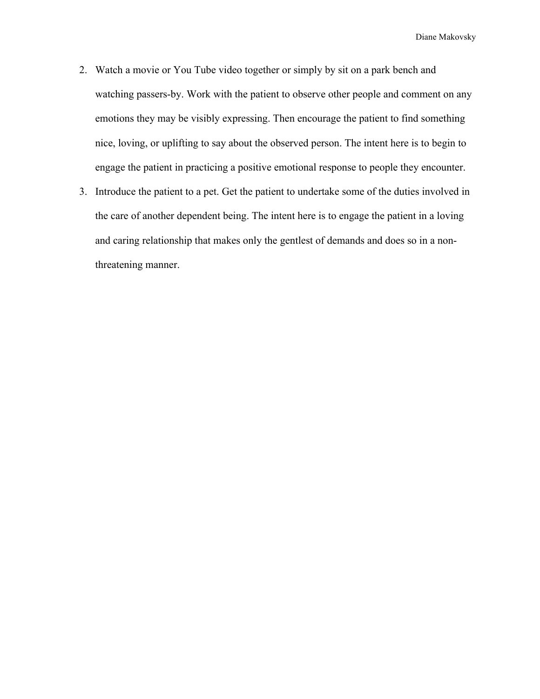- 2. Watch a movie or You Tube video together or simply by sit on a park bench and watching passers-by. Work with the patient to observe other people and comment on any emotions they may be visibly expressing. Then encourage the patient to find something nice, loving, or uplifting to say about the observed person. The intent here is to begin to engage the patient in practicing a positive emotional response to people they encounter.
- 3. Introduce the patient to a pet. Get the patient to undertake some of the duties involved in the care of another dependent being. The intent here is to engage the patient in a loving and caring relationship that makes only the gentlest of demands and does so in a nonthreatening manner.